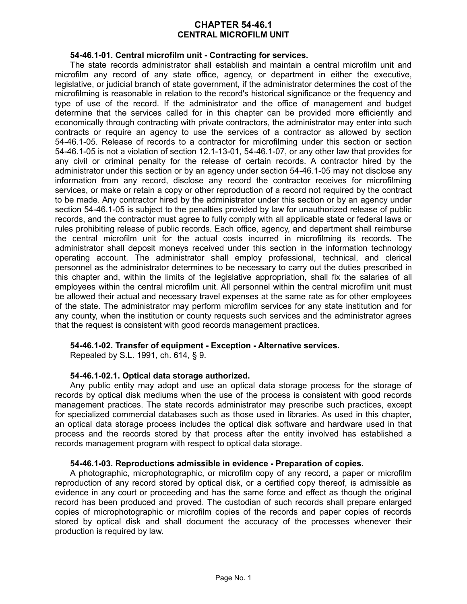# **CHAPTER 54-46.1 CENTRAL MICROFILM UNIT**

## **54-46.1-01. Central microfilm unit - Contracting for services.**

The state records administrator shall establish and maintain a central microfilm unit and microfilm any record of any state office, agency, or department in either the executive, legislative, or judicial branch of state government, if the administrator determines the cost of the microfilming is reasonable in relation to the record's historical significance or the frequency and type of use of the record. If the administrator and the office of management and budget determine that the services called for in this chapter can be provided more efficiently and economically through contracting with private contractors, the administrator may enter into such contracts or require an agency to use the services of a contractor as allowed by section 54-46.1-05. Release of records to a contractor for microfilming under this section or section 54-46.1-05 is not a violation of section 12.1-13-01, 54-46.1-07, or any other law that provides for any civil or criminal penalty for the release of certain records. A contractor hired by the administrator under this section or by an agency under section 54-46.1-05 may not disclose any information from any record, disclose any record the contractor receives for microfilming services, or make or retain a copy or other reproduction of a record not required by the contract to be made. Any contractor hired by the administrator under this section or by an agency under section 54-46.1-05 is subject to the penalties provided by law for unauthorized release of public records, and the contractor must agree to fully comply with all applicable state or federal laws or rules prohibiting release of public records. Each office, agency, and department shall reimburse the central microfilm unit for the actual costs incurred in microfilming its records. The administrator shall deposit moneys received under this section in the information technology operating account. The administrator shall employ professional, technical, and clerical personnel as the administrator determines to be necessary to carry out the duties prescribed in this chapter and, within the limits of the legislative appropriation, shall fix the salaries of all employees within the central microfilm unit. All personnel within the central microfilm unit must be allowed their actual and necessary travel expenses at the same rate as for other employees of the state. The administrator may perform microfilm services for any state institution and for any county, when the institution or county requests such services and the administrator agrees that the request is consistent with good records management practices.

## **54-46.1-02. Transfer of equipment - Exception - Alternative services.**

Repealed by S.L. 1991, ch. 614, § 9.

## **54-46.1-02.1. Optical data storage authorized.**

Any public entity may adopt and use an optical data storage process for the storage of records by optical disk mediums when the use of the process is consistent with good records management practices. The state records administrator may prescribe such practices, except for specialized commercial databases such as those used in libraries. As used in this chapter, an optical data storage process includes the optical disk software and hardware used in that process and the records stored by that process after the entity involved has established a records management program with respect to optical data storage.

## **54-46.1-03. Reproductions admissible in evidence - Preparation of copies.**

A photographic, microphotographic, or microfilm copy of any record, a paper or microfilm reproduction of any record stored by optical disk, or a certified copy thereof, is admissible as evidence in any court or proceeding and has the same force and effect as though the original record has been produced and proved. The custodian of such records shall prepare enlarged copies of microphotographic or microfilm copies of the records and paper copies of records stored by optical disk and shall document the accuracy of the processes whenever their production is required by law.